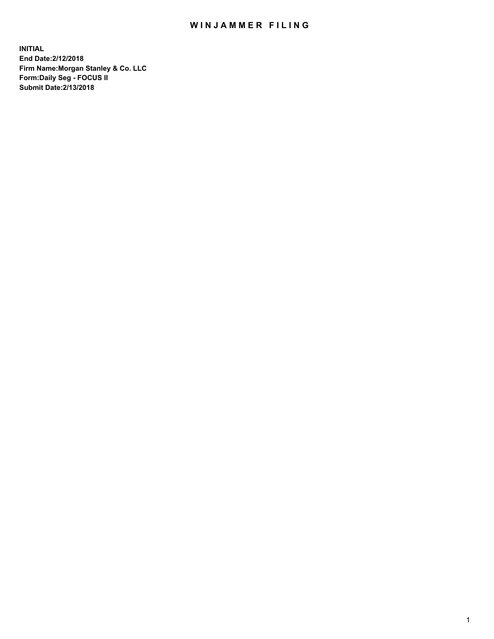## WIN JAMMER FILING

**INITIAL End Date:2/12/2018 Firm Name:Morgan Stanley & Co. LLC Form:Daily Seg - FOCUS II Submit Date:2/13/2018**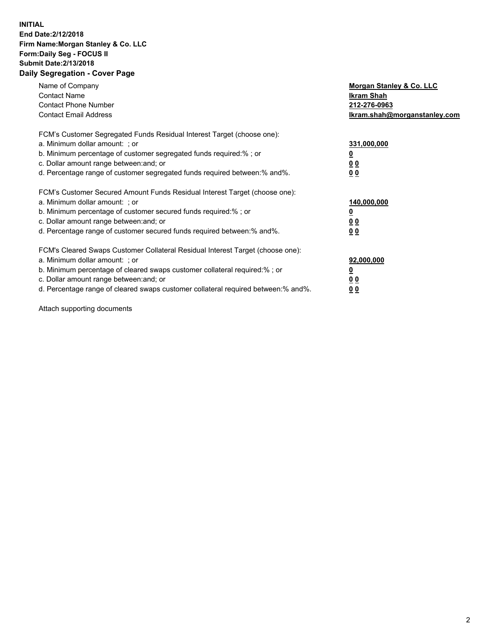## **INITIAL End Date:2/12/2018 Firm Name:Morgan Stanley & Co. LLC Form:Daily Seg - FOCUS II Submit Date:2/13/2018 Daily Segregation - Cover Page**

| Name of Company<br><b>Contact Name</b><br><b>Contact Phone Number</b><br><b>Contact Email Address</b>                                                                                                                                                                                                                          | Morgan Stanley & Co. LLC<br>Ikram Shah<br>212-276-0963<br>lkram.shah@morganstanley.com |
|--------------------------------------------------------------------------------------------------------------------------------------------------------------------------------------------------------------------------------------------------------------------------------------------------------------------------------|----------------------------------------------------------------------------------------|
| FCM's Customer Segregated Funds Residual Interest Target (choose one):<br>a. Minimum dollar amount: ; or<br>b. Minimum percentage of customer segregated funds required:%; or<br>c. Dollar amount range between: and; or<br>d. Percentage range of customer segregated funds required between: % and %.                        | 331,000,000<br>0 <sub>0</sub><br>00                                                    |
| FCM's Customer Secured Amount Funds Residual Interest Target (choose one):<br>a. Minimum dollar amount: ; or<br>b. Minimum percentage of customer secured funds required:%; or<br>c. Dollar amount range between: and; or<br>d. Percentage range of customer secured funds required between:% and%.                            | 140,000,000<br>0 <sub>0</sub><br>0 <sub>0</sub>                                        |
| FCM's Cleared Swaps Customer Collateral Residual Interest Target (choose one):<br>a. Minimum dollar amount: ; or<br>b. Minimum percentage of cleared swaps customer collateral required:% ; or<br>c. Dollar amount range between: and; or<br>d. Percentage range of cleared swaps customer collateral required between:% and%. | 92,000,000<br>0 <sub>0</sub><br>0 <sub>0</sub>                                         |

Attach supporting documents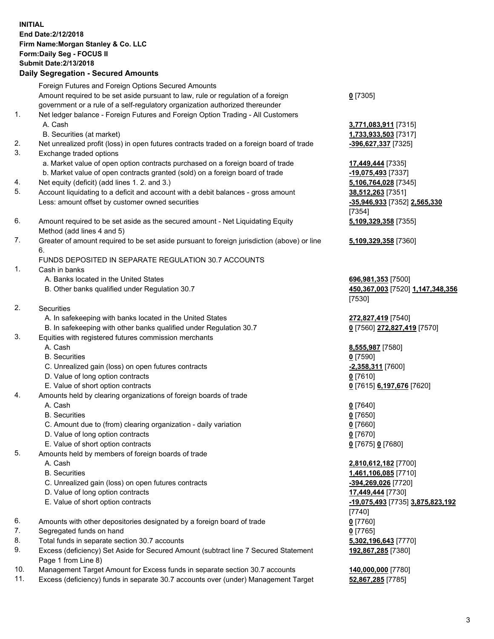## **INITIAL End Date:2/12/2018 Firm Name:Morgan Stanley & Co. LLC Form:Daily Seg - FOCUS II Submit Date:2/13/2018**

**Daily Segregation - Secured Amounts** Foreign Futures and Foreign Options Secured Amounts Amount required to be set aside pursuant to law, rule or regulation of a foreign government or a rule of a self-regulatory organization authorized thereunder 1. Net ledger balance - Foreign Futures and Foreign Option Trading - All Customers A. Cash **3,771,083,911** [7315] B. Securities (at market) **1,733,933,503** [7317] 2. Net unrealized profit (loss) in open futures contracts traded on a foreign board of trade **-396,627,337** [7325] 3. Exchange traded options a. Market value of open option contracts purchased on a foreign board of trade **17,449,444** [7335] b. Market value of open contracts granted (sold) on a foreign board of trade **-19,075,493** [7337] 4. Net equity (deficit) (add lines 1. 2. and 3.) **5,106,764,028** [7345] 5. Account liquidating to a deficit and account with a debit balances - gross amount **38,512,263** [7351] Less: amount offset by customer owned securities **-35,946,933** [7352] **2,565,330** 6. Amount required to be set aside as the secured amount - Net Liquidating Equity Method (add lines 4 and 5) 7. Greater of amount required to be set aside pursuant to foreign jurisdiction (above) or line 6. FUNDS DEPOSITED IN SEPARATE REGULATION 30.7 ACCOUNTS 1. Cash in banks A. Banks located in the United States **696,981,353** [7500] B. Other banks qualified under Regulation 30.7 **450,367,003** [7520] **1,147,348,356** 2. Securities A. In safekeeping with banks located in the United States **272,827,419** [7540] B. In safekeeping with other banks qualified under Regulation 30.7 **0** [7560] **272,827,419** [7570] 3. Equities with registered futures commission merchants A. Cash **8,555,987** [7580] B. Securities **0** [7590] C. Unrealized gain (loss) on open futures contracts **-2,358,311** [7600] D. Value of long option contracts **0** [7610] E. Value of short option contracts **0** [7615] **6,197,676** [7620] 4. Amounts held by clearing organizations of foreign boards of trade A. Cash **0** [7640] B. Securities **0** [7650] C. Amount due to (from) clearing organization - daily variation **0** [7660] D. Value of long option contracts **0** [7670]

- 
- E. Value of short option contracts **0** [7675] **0** [7680]
- 5. Amounts held by members of foreign boards of trade
	-
	-
	- C. Unrealized gain (loss) on open futures contracts **-394,269,026** [7720]
	- D. Value of long option contracts **17,449,444** [7730]
	- E. Value of short option contracts **-19,075,493** [7735] **3,875,823,192**
- 6. Amounts with other depositories designated by a foreign board of trade **0** [7760]
- 7. Segregated funds on hand **0** [7765]
- 8. Total funds in separate section 30.7 accounts **5,302,196,643** [7770]
- 9. Excess (deficiency) Set Aside for Secured Amount (subtract line 7 Secured Statement Page 1 from Line 8)
- 10. Management Target Amount for Excess funds in separate section 30.7 accounts **140,000,000** [7780]
- 11. Excess (deficiency) funds in separate 30.7 accounts over (under) Management Target **52,867,285** [7785]

| <u>0</u> [7305] |  |
|-----------------|--|
|-----------------|--|

[7354] **5,109,329,358** [7355]

**5,109,329,358** [7360]

[7530]

 A. Cash **2,810,612,182** [7700] B. Securities **1,461,106,085** [7710] [7740] **192,867,285** [7380]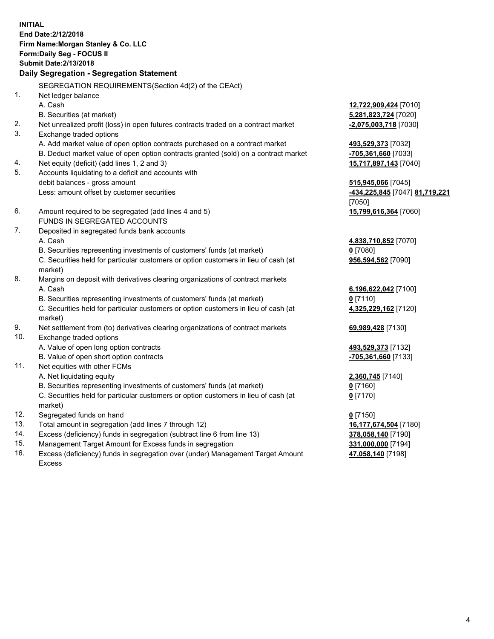**INITIAL End Date:2/12/2018 Firm Name:Morgan Stanley & Co. LLC Form:Daily Seg - FOCUS II Submit Date:2/13/2018 Daily Segregation - Segregation Statement** SEGREGATION REQUIREMENTS(Section 4d(2) of the CEAct) 1. Net ledger balance A. Cash **12,722,909,424** [7010] B. Securities (at market) **5,281,823,724** [7020] 2. Net unrealized profit (loss) in open futures contracts traded on a contract market **-2,075,003,718** [7030] 3. Exchange traded options A. Add market value of open option contracts purchased on a contract market **493,529,373** [7032] B. Deduct market value of open option contracts granted (sold) on a contract market **-705,361,660** [7033] 4. Net equity (deficit) (add lines 1, 2 and 3) **15,717,897,143** [7040] 5. Accounts liquidating to a deficit and accounts with debit balances - gross amount **515,945,066** [7045] Less: amount offset by customer securities **-434,225,845** [7047] **81,719,221** [7050] 6. Amount required to be segregated (add lines 4 and 5) **15,799,616,364** [7060] FUNDS IN SEGREGATED ACCOUNTS 7. Deposited in segregated funds bank accounts A. Cash **4,838,710,852** [7070] B. Securities representing investments of customers' funds (at market) **0** [7080] C. Securities held for particular customers or option customers in lieu of cash (at market) **956,594,562** [7090] 8. Margins on deposit with derivatives clearing organizations of contract markets A. Cash **6,196,622,042** [7100] B. Securities representing investments of customers' funds (at market) **0** [7110] C. Securities held for particular customers or option customers in lieu of cash (at market) **4,325,229,162** [7120] 9. Net settlement from (to) derivatives clearing organizations of contract markets **69,989,428** [7130] 10. Exchange traded options A. Value of open long option contracts **493,529,373** [7132] B. Value of open short option contracts **-705,361,660** [7133] 11. Net equities with other FCMs A. Net liquidating equity **2,360,745** [7140] B. Securities representing investments of customers' funds (at market) **0** [7160] C. Securities held for particular customers or option customers in lieu of cash (at market) **0** [7170] 12. Segregated funds on hand **0** [7150] 13. Total amount in segregation (add lines 7 through 12) **16,177,674,504** [7180] 14. Excess (deficiency) funds in segregation (subtract line 6 from line 13) **378,058,140** [7190]

- 15. Management Target Amount for Excess funds in segregation **331,000,000** [7194]
- 16. Excess (deficiency) funds in segregation over (under) Management Target Amount Excess

**47,058,140** [7198]